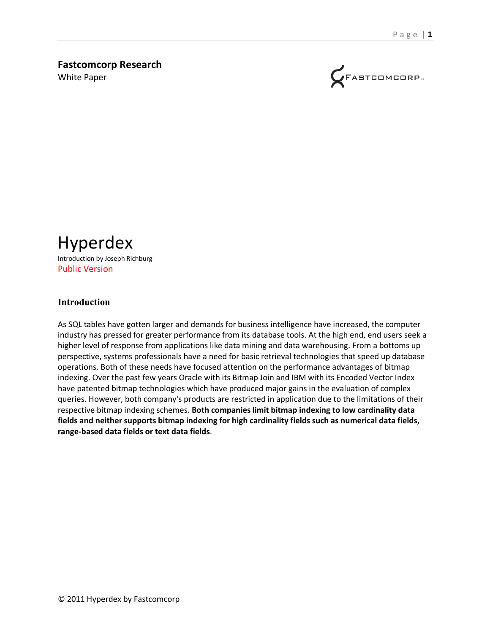# **Fastcomcorp Research**

White Paper



Hyperdex Introduction by Joseph Richburg Public Version

#### **Introduction**

As SQL tables have gotten larger and demands for business intelligence have increased, the computer industry has pressed for greater performance from its database tools. At the high end, end users seek a higher level of response from applications like data mining and data warehousing. From a bottoms up perspective, systems professionals have a need for basic retrieval technologies that speed up database operations. Both of these needs have focused attention on the performance advantages of bitmap indexing. Over the past few years Oracle with its Bitmap Join and IBM with its Encoded Vector Index have patented bitmap technologies which have produced major gains in the evaluation of complex queries. However, both company's products are restricted in application due to the limitations of their respective bitmap indexing schemes. **Both companies limit bitmap indexing to low cardinality data fields and neither supports bitmap indexing for high cardinality fields such as numerical data fields, range-based data fields or text data fields**.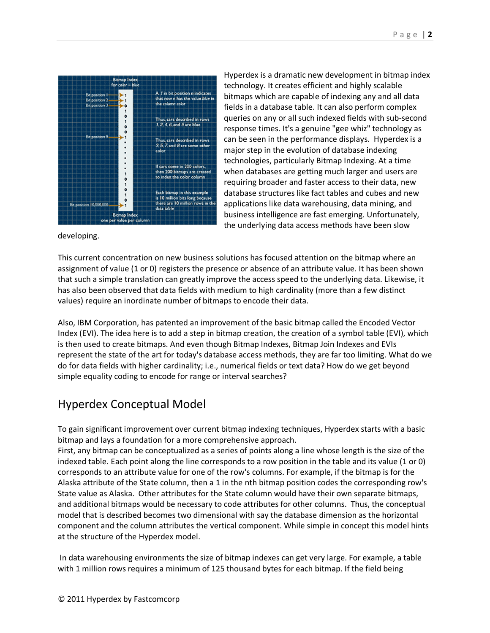

Hyperdex is a dramatic new development in bitmap index technology. It creates efficient and highly scalable bitmaps which are capable of indexing any and all data fields in a database table. It can also perform complex queries on any or all such indexed fields with sub-second response times. It's a genuine "gee whiz" technology as can be seen in the performance displays. Hyperdex is a major step in the evolution of database indexing technologies, particularly Bitmap Indexing. At a time when databases are getting much larger and users are requiring broader and faster access to their data, new database structures like fact tables and cubes and new applications like data warehousing, data mining, and business intelligence are fast emerging. Unfortunately, the underlying data access methods have been slow

developing.

This current concentration on new business solutions has focused attention on the bitmap where an assignment of value (1 or 0) registers the presence or absence of an attribute value. It has been shown that such a simple translation can greatly improve the access speed to the underlying data. Likewise, it has also been observed that data fields with medium to high cardinality (more than a few distinct values) require an inordinate number of bitmaps to encode their data.

Also, IBM Corporation, has patented an improvement of the basic bitmap called the Encoded Vector Index (EVI). The idea here is to add a step in bitmap creation, the creation of a symbol table (EVI), which is then used to create bitmaps. And even though Bitmap Indexes, Bitmap Join Indexes and EVIs represent the state of the art for today's database access methods, they are far too limiting. What do we do for data fields with higher cardinality; i.e., numerical fields or text data? How do we get beyond simple equality coding to encode for range or interval searches?

### Hyperdex Conceptual Model

To gain significant improvement over current bitmap indexing techniques, Hyperdex starts with a basic bitmap and lays a foundation for a more comprehensive approach.

First, any bitmap can be conceptualized as a series of points along a line whose length is the size of the indexed table. Each point along the line corresponds to a row position in the table and its value (1 or 0) corresponds to an attribute value for one of the row's columns. For example, if the bitmap is for the Alaska attribute of the State column, then a 1 in the nth bitmap position codes the corresponding row's State value as Alaska. Other attributes for the State column would have their own separate bitmaps, and additional bitmaps would be necessary to code attributes for other columns. Thus, the conceptual model that is described becomes two dimensional with say the database dimension as the horizontal component and the column attributes the vertical component. While simple in concept this model hints at the structure of the Hyperdex model.

In data warehousing environments the size of bitmap indexes can get very large. For example, a table with 1 million rows requires a minimum of 125 thousand bytes for each bitmap. If the field being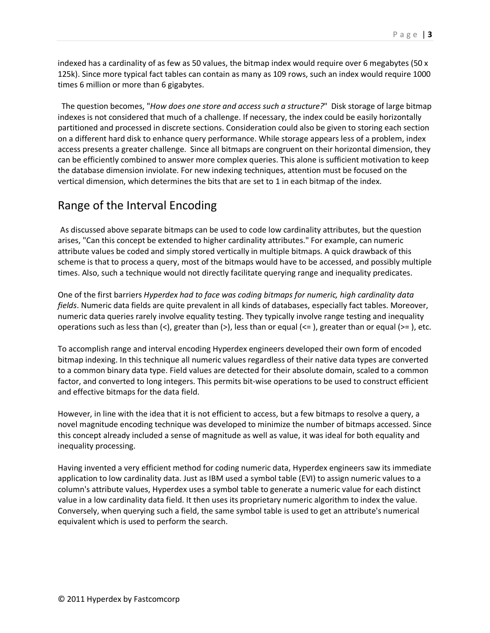indexed has a cardinality of as few as 50 values, the bitmap index would require over 6 megabytes (50 x 125k). Since more typical fact tables can contain as many as 109 rows, such an index would require 1000 times 6 million or more than 6 gigabytes.

 The question becomes, "*How does one store and access such a structure?*" Disk storage of large bitmap indexes is not considered that much of a challenge. If necessary, the index could be easily horizontally partitioned and processed in discrete sections. Consideration could also be given to storing each section on a different hard disk to enhance query performance. While storage appears less of a problem, index access presents a greater challenge. Since all bitmaps are congruent on their horizontal dimension, they can be efficiently combined to answer more complex queries. This alone is sufficient motivation to keep the database dimension inviolate. For new indexing techniques, attention must be focused on the vertical dimension, which determines the bits that are set to 1 in each bitmap of the index.

### Range of the Interval Encoding

As discussed above separate bitmaps can be used to code low cardinality attributes, but the question arises, "Can this concept be extended to higher cardinality attributes." For example, can numeric attribute values be coded and simply stored vertically in multiple bitmaps. A quick drawback of this scheme is that to process a query, most of the bitmaps would have to be accessed, and possibly multiple times. Also, such a technique would not directly facilitate querying range and inequality predicates.

One of the first barriers *Hyperdex had to face was coding bitmaps for numeric, high cardinality data fields*. Numeric data fields are quite prevalent in all kinds of databases, especially fact tables. Moreover, numeric data queries rarely involve equality testing. They typically involve range testing and inequality operations such as less than  $\langle \langle \rangle$ , greater than  $\langle \rangle$ , less than or equal  $\langle \langle \rangle$ , greater than or equal  $\langle \rangle$  = ), etc.

To accomplish range and interval encoding Hyperdex engineers developed their own form of encoded bitmap indexing. In this technique all numeric values regardless of their native data types are converted to a common binary data type. Field values are detected for their absolute domain, scaled to a common factor, and converted to long integers. This permits bit-wise operations to be used to construct efficient and effective bitmaps for the data field.

However, in line with the idea that it is not efficient to access, but a few bitmaps to resolve a query, a novel magnitude encoding technique was developed to minimize the number of bitmaps accessed. Since this concept already included a sense of magnitude as well as value, it was ideal for both equality and inequality processing.

Having invented a very efficient method for coding numeric data, Hyperdex engineers saw its immediate application to low cardinality data. Just as IBM used a symbol table (EVI) to assign numeric values to a column's attribute values, Hyperdex uses a symbol table to generate a numeric value for each distinct value in a low cardinality data field. It then uses its proprietary numeric algorithm to index the value. Conversely, when querying such a field, the same symbol table is used to get an attribute's numerical equivalent which is used to perform the search.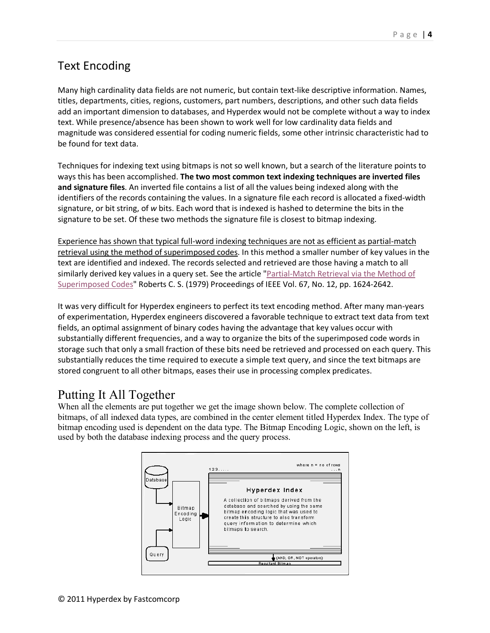## Text Encoding

Many high cardinality data fields are not numeric, but contain text-like descriptive information. Names, titles, departments, cities, regions, customers, part numbers, descriptions, and other such data fields add an important dimension to databases, and Hyperdex would not be complete without a way to index text. While presence/absence has been shown to work well for low cardinality data fields and magnitude was considered essential for coding numeric fields, some other intrinsic characteristic had to be found for text data.

Techniques for indexing text using bitmaps is not so well known, but a search of the literature points to ways this has been accomplished. **The two most common text indexing techniques are inverted files and signature files**. An inverted file contains a list of all the values being indexed along with the identifiers of the records containing the values. In a signature file each record is allocated a fixed-width signature, or bit string, of *w* bits. Each word that is indexed is hashed to determine the bits in the signature to be set. Of these two methods the signature file is closest to bitmap indexing.

Experience has shown that typical full-word indexing techniques are not as efficient as partial-match retrieval using the method of superimposed codes. In this method a smaller number of key values in the text are identified and indexed. The records selected and retrieved are those having a match to all similarly derived key values in a query set. See the article "Partial-Match Retrieval via the Method of Superimposed Codes" Roberts C. S. (1979) Proceedings of IEEE Vol. 67, No. 12, pp. 1624-2642.

It was very difficult for Hyperdex engineers to perfect its text encoding method. After many man-years of experimentation, Hyperdex engineers discovered a favorable technique to extract text data from text fields, an optimal assignment of binary codes having the advantage that key values occur with substantially different frequencies, and a way to organize the bits of the superimposed code words in storage such that only a small fraction of these bits need be retrieved and processed on each query. This substantially reduces the time required to execute a simple text query, and since the text bitmaps are stored congruent to all other bitmaps, eases their use in processing complex predicates.

# Putting It All Together

When all the elements are put together we get the image shown below. The complete collection of bitmaps, of all indexed data types, are combined in the center element titled Hyperdex Index. The type of bitmap encoding used is dependent on the data type. The Bitmap Encoding Logic, shown on the left, is used by both the database indexing process and the query process.

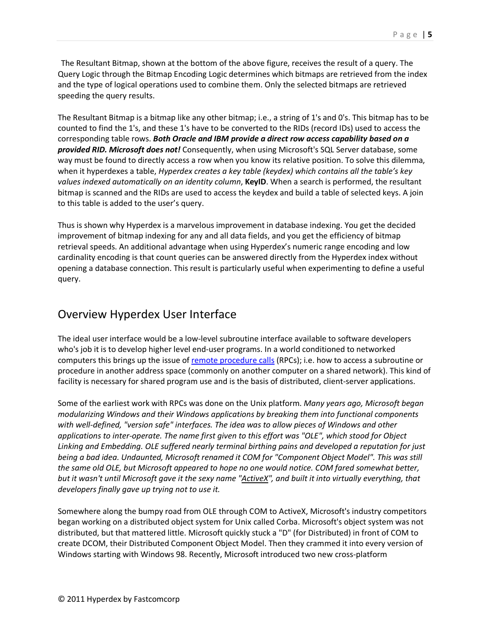The Resultant Bitmap, shown at the bottom of the above figure, receives the result of a query. The Query Logic through the Bitmap Encoding Logic determines which bitmaps are retrieved from the index and the type of logical operations used to combine them. Only the selected bitmaps are retrieved speeding the query results.

The Resultant Bitmap is a bitmap like any other bitmap; i.e., a string of 1's and 0's. This bitmap has to be counted to find the 1's, and these 1's have to be converted to the RIDs (record IDs) used to access the corresponding table rows. *Both Oracle and IBM provide a direct row access capability based on a provided RID. Microsoft does not!* Consequently, when using Microsoft's SQL Server database, some way must be found to directly access a row when you know its relative position. To solve this dilemma, when it hyperdexes a table, *Hyperdex creates a key table (keydex) which contains all the table's key values indexed automatically on an identity column*, **KeyID**. When a search is performed, the resultant bitmap is scanned and the RIDs are used to access the keydex and build a table of selected keys. A join to this table is added to the user's query.

Thus is shown why Hyperdex is a marvelous improvement in database indexing. You get the decided improvement of bitmap indexing for any and all data fields, and you get the efficiency of bitmap retrieval speeds. An additional advantage when using Hyperdex's numeric range encoding and low cardinality encoding is that count queries can be answered directly from the Hyperdex index without opening a database connection. This result is particularly useful when experimenting to define a useful query.

#### Overview Hyperdex User Interface

The ideal user interface would be a low-level subroutine interface available to software developers who's job it is to develop higher level end-user programs. In a world conditioned to networked computers this brings up the issue of remote procedure calls (RPCs); i.e. how to access a subroutine or procedure in another address space (commonly on another computer on a shared network). This kind of facility is necessary for shared program use and is the basis of distributed, client-server applications.

Some of the earliest work with RPCs was done on the Unix platform. *Many years ago, Microsoft began modularizing Windows and their Windows applications by breaking them into functional components with well-defined, "version safe" interfaces. The idea was to allow pieces of Windows and other applications to inter-operate. The name first given to this effort was "OLE", which stood for Object Linking and Embedding. OLE suffered nearly terminal birthing pains and developed a reputation for just being a bad idea. Undaunted, Microsoft renamed it COM for "Component Object Model". This was still the same old OLE, but Microsoft appeared to hope no one would notice. COM fared somewhat better, but it wasn't until Microsoft gave it the sexy name "ActiveX", and built it into virtually everything, that developers finally gave up trying not to use it.*

Somewhere along the bumpy road from OLE through COM to ActiveX, Microsoft's industry competitors began working on a distributed object system for Unix called Corba. Microsoft's object system was not distributed, but that mattered little. Microsoft quickly stuck a "D" (for Distributed) in front of COM to create DCOM, their Distributed Component Object Model. Then they crammed it into every version of Windows starting with Windows 98. Recently, Microsoft introduced two new cross-platform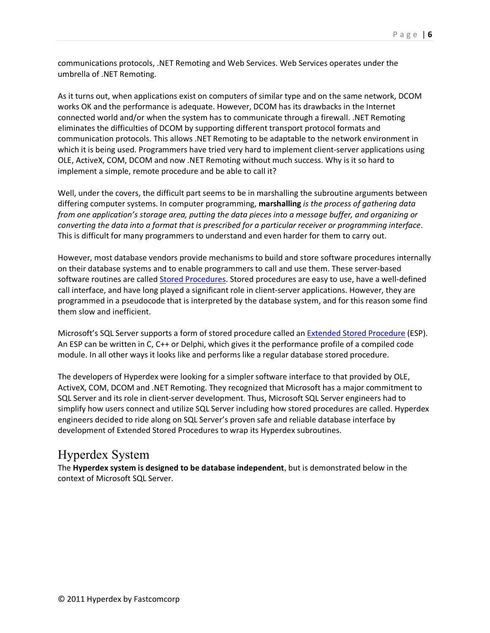communications protocols, .NET Remoting and Web Services. Web Services operates under the umbrella of .NET Remoting.

As it turns out, when applications exist on computers of similar type and on the same network, DCOM works OK and the performance is adequate. However, DCOM has its drawbacks in the Internet connected world and/or when the system has to communicate through a firewall. .NET Remoting eliminates the difficulties of DCOM by supporting different transport protocol formats and communication protocols. This allows .NET Remoting to be adaptable to the network environment in which it is being used. Programmers have tried very hard to implement client-server applications using OLE, ActiveX, COM, DCOM and now .NET Remoting without much success. Why is it so hard to implement a simple, remote procedure and be able to call it?

Well, under the covers, the difficult part seems to be in marshalling the subroutine arguments between differing computer systems. In computer programming, **marshalling** *is the process of gathering data from one application's storage area, putting the data pieces into a message buffer, and organizing or converting the data into a format that is prescribed for a particular receiver or programming interface*. This is difficult for many programmers to understand and even harder for them to carry out.

However, most database vendors provide mechanisms to build and store software procedures internally on their database systems and to enable programmers to call and use them. These server-based software routines are called Stored Procedures. Stored procedures are easy to use, have a well-defined call interface, and have long played a significant role in client-server applications. However, they are programmed in a pseudocode that is interpreted by the database system, and for this reason some find them slow and inefficient.

Microsoft's SQL Server supports a form of stored procedure called an **Extended Stored Procedure** (ESP). An ESP can be written in C, C++ or Delphi, which gives it the performance profile of a compiled code module. In all other ways it looks like and performs like a regular database stored procedure.

The developers of Hyperdex were looking for a simpler software interface to that provided by OLE, ActiveX, COM, DCOM and .NET Remoting. They recognized that Microsoft has a major commitment to SQL Server and its role in client-server development. Thus, Microsoft SQL Server engineers had to simplify how users connect and utilize SQL Server including how stored procedures are called. Hyperdex engineers decided to ride along on SQL Server's proven safe and reliable database interface by development of Extended Stored Procedures to wrap its Hyperdex subroutines.

### Hyperdex System

The **Hyperdex system is designed to be database independent**, but is demonstrated below in the context of Microsoft SQL Server.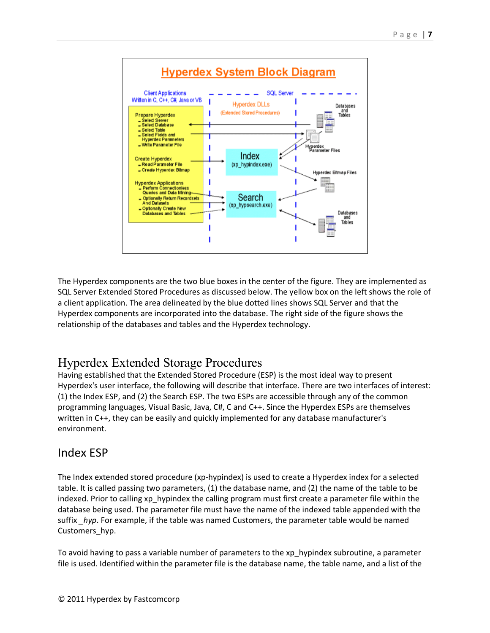

The Hyperdex components are the two blue boxes in the center of the figure. They are implemented as SQL Server Extended Stored Procedures as discussed below. The yellow box on the left shows the role of a client application. The area delineated by the blue dotted lines shows SQL Server and that the Hyperdex components are incorporated into the database. The right side of the figure shows the relationship of the databases and tables and the Hyperdex technology.

# Hyperdex Extended Storage Procedures

Having established that the Extended Stored Procedure (ESP) is the most ideal way to present Hyperdex's user interface, the following will describe that interface. There are two interfaces of interest: (1) the Index ESP, and (2) the Search ESP. The two ESPs are accessible through any of the common programming languages, Visual Basic, Java, C#, C and C++. Since the Hyperdex ESPs are themselves written in C++, they can be easily and quickly implemented for any database manufacturer's environment.

#### Index ESP

The Index extended stored procedure (xp-hypindex) is used to create a Hyperdex index for a selected table. It is called passing two parameters, (1) the database name, and (2) the name of the table to be indexed. Prior to calling xp\_hypindex the calling program must first create a parameter file within the database being used. The parameter file must have the name of the indexed table appended with the suffix *hyp*. For example, if the table was named Customers, the parameter table would be named Customers\_hyp.

To avoid having to pass a variable number of parameters to the xp\_hypindex subroutine, a parameter file is used. Identified within the parameter file is the database name, the table name, and a list of the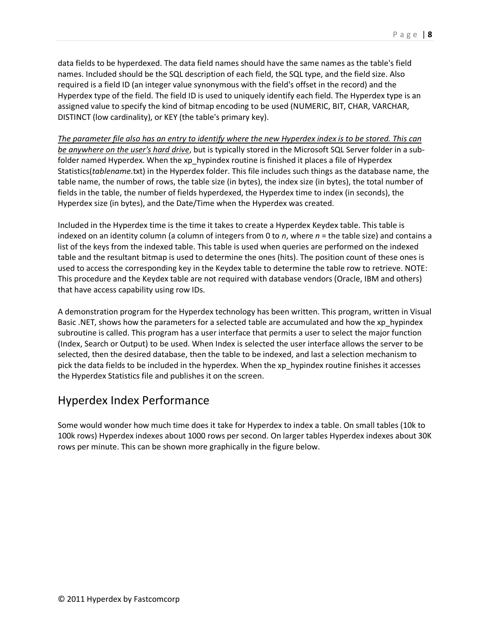data fields to be hyperdexed. The data field names should have the same names as the table's field names. Included should be the SQL description of each field, the SQL type, and the field size. Also required is a field ID (an integer value synonymous with the field's offset in the record) and the Hyperdex type of the field. The field ID is used to uniquely identify each field. The Hyperdex type is an assigned value to specify the kind of bitmap encoding to be used (NUMERIC, BIT, CHAR, VARCHAR, DISTINCT (low cardinality), or KEY (the table's primary key).

*The parameter file also has an entry to identify where the new Hyperdex index is to be stored. This can be anywhere on the user's hard drive*, but is typically stored in the Microsoft SQL Server folder in a subfolder named Hyperdex. When the xp hypindex routine is finished it places a file of Hyperdex Statistics(*tablename*.txt) in the Hyperdex folder. This file includes such things as the database name, the table name, the number of rows, the table size (in bytes), the index size (in bytes), the total number of fields in the table, the number of fields hyperdexed, the Hyperdex time to index (in seconds), the Hyperdex size (in bytes), and the Date/Time when the Hyperdex was created.

Included in the Hyperdex time is the time it takes to create a Hyperdex Keydex table. This table is indexed on an identity column (a column of integers from 0 to *n*, where *n* = the table size) and contains a list of the keys from the indexed table. This table is used when queries are performed on the indexed table and the resultant bitmap is used to determine the ones (hits). The position count of these ones is used to access the corresponding key in the Keydex table to determine the table row to retrieve. NOTE: This procedure and the Keydex table are not required with database vendors (Oracle, IBM and others) that have access capability using row IDs.

A demonstration program for the Hyperdex technology has been written. This program, written in Visual Basic .NET, shows how the parameters for a selected table are accumulated and how the xp\_hypindex subroutine is called. This program has a user interface that permits a user to select the major function (Index, Search or Output) to be used. When Index is selected the user interface allows the server to be selected, then the desired database, then the table to be indexed, and last a selection mechanism to pick the data fields to be included in the hyperdex. When the xp\_hypindex routine finishes it accesses the Hyperdex Statistics file and publishes it on the screen.

#### Hyperdex Index Performance

Some would wonder how much time does it take for Hyperdex to index a table. On small tables (10k to 100k rows) Hyperdex indexes about 1000 rows per second. On larger tables Hyperdex indexes about 30K rows per minute. This can be shown more graphically in the figure below.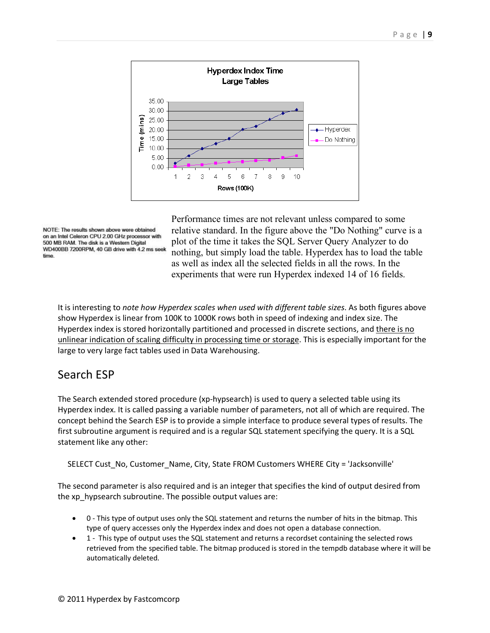

NOTE: The results shown above were obtained on an Intel Celeron CPU 2.00 GHz processor with 500 MB RAM. The disk is a Western Digital WD400BB 7200RPM, 40 GB drive with 4.2 ms seek time.

Performance times are not relevant unless compared to some relative standard. In the figure above the "Do Nothing" curve is a plot of the time it takes the SQL Server Query Analyzer to do nothing, but simply load the table. Hyperdex has to load the table as well as index all the selected fields in all the rows. In the experiments that were run Hyperdex indexed 14 of 16 fields.

It is interesting to *note how Hyperdex scales when used with different table sizes*. As both figures above show Hyperdex is linear from 100K to 1000K rows both in speed of indexing and index size. The Hyperdex index is stored horizontally partitioned and processed in discrete sections, and *there is no* unlinear indication of scaling difficulty in processing time or storage. This is especially important for the large to very large fact tables used in Data Warehousing.

### Search ESP

The Search extended stored procedure (xp-hypsearch) is used to query a selected table using its Hyperdex index. It is called passing a variable number of parameters, not all of which are required. The concept behind the Search ESP is to provide a simple interface to produce several types of results. The first subroutine argument is required and is a regular SQL statement specifying the query. It is a SQL statement like any other:

SELECT Cust\_No, Customer\_Name, City, State FROM Customers WHERE City = 'Jacksonville'

The second parameter is also required and is an integer that specifies the kind of output desired from the xp\_hypsearch subroutine. The possible output values are:

- 0 This type of output uses only the SQL statement and returns the number of hits in the bitmap. This type of query accesses only the Hyperdex index and does not open a database connection.
- 1 This type of output uses the SQL statement and returns a recordset containing the selected rows retrieved from the specified table. The bitmap produced is stored in the tempdb database where it will be automatically deleted.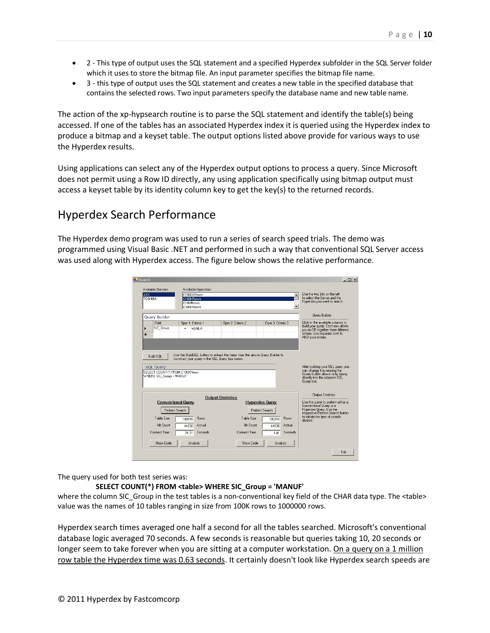- 2 This type of output uses the SQL statement and a specified Hyperdex subfolder in the SQL Server folder which it uses to store the bitmap file. An input parameter specifies the bitmap file name.
- 3 this type of output uses the SQL statement and creates a new table in the specified database that contains the selected rows. Two input parameters specify the database name and new table name.

The action of the xp-hypsearch routine is to parse the SQL statement and identify the table(s) being accessed. If one of the tables has an associated Hyperdex index it is queried using the Hyperdex index to produce a bitmap and a keyset table. The output options listed above provide for various ways to use the Hyperdex results.

Using applications can select any of the Hyperdex output options to process a query. Since Microsoft does not permit using a Row ID directly, any using application specifically using bitmap output must access a keyset table by its identity column key to get the key(s) to the returned records.

#### Hyperdex Search Performance

The Hyperdex demo program was used to run a series of search speed trials. The demo was programmed using Visual Basic .NET and performed in such a way that conventional SQL Server access was used along with Hyperdex access. The figure below shows the relative performance.

|                | Available Servers                                           |                | Available Hyperdexs                              |  |                          |                                                                              |                       |                   |             |                                                                                                                                                |
|----------------|-------------------------------------------------------------|----------------|--------------------------------------------------|--|--------------------------|------------------------------------------------------------------------------|-----------------------|-------------------|-------------|------------------------------------------------------------------------------------------------------------------------------------------------|
| <b>ATX</b>     |                                                             |                | C1000KRows                                       |  |                          |                                                                              |                       |                   |             | Use the two lists on the left                                                                                                                  |
| <b>TOSHIBA</b> |                                                             |                | C100KRows<br>C10KRows                            |  |                          |                                                                              |                       |                   |             | to select the Server and the<br>Hyperdex you want to search.                                                                                   |
|                |                                                             |                | C200KRows                                        |  |                          |                                                                              |                       |                   |             |                                                                                                                                                |
|                |                                                             |                |                                                  |  |                          |                                                                              |                       |                   |             |                                                                                                                                                |
|                | Query Builder                                               |                |                                                  |  |                          |                                                                              |                       |                   |             | Query Builder                                                                                                                                  |
|                | Field                                                       |                | Oper 1 Criteria 1                                |  |                          | Oper 2 Criteria 2                                                            |                       | Oper 3 Criteria 3 |             | Click in the available columns to<br>build your query. Each row allows<br>you to OR together three different<br>criteria. Use separate rows to |
| ь              | SIC Group                                                   | $\equiv$       | <b>MANLIF</b>                                    |  |                          |                                                                              |                       |                   |             |                                                                                                                                                |
| ₩              |                                                             |                |                                                  |  |                          |                                                                              |                       |                   |             |                                                                                                                                                |
|                |                                                             |                |                                                  |  |                          |                                                                              |                       |                   |             | AND your criteria.                                                                                                                             |
|                | <b>Build SOL</b><br><b>SQL Query</b>                        |                | construct your guery in the SQL Query box below. |  |                          | Use the BuildSQL button to extract the items from the above Query Builder to |                       |                   |             | After building your SQL query you                                                                                                              |
|                | SELECT COUNT(*) FROM C100KRows<br>WHERE SIC Group = 'MANUF' |                |                                                  |  |                          |                                                                              |                       |                   |             | can change it by reusing the<br>Query Builder above or by typing<br>directly into the adjacent SQL<br>Query box.                               |
|                |                                                             |                |                                                  |  | <b>Output Statistics</b> |                                                                              |                       |                   |             | <b>Output Statistics</b>                                                                                                                       |
|                | <b>Conventional Query</b>                                   |                |                                                  |  |                          |                                                                              | <b>Hyperdex Query</b> |                   |             | Use this panel to perform either a                                                                                                             |
|                |                                                             | Perform Search |                                                  |  |                          |                                                                              | Perform Search        |                   |             | Conventional Query or a<br>Huperdex Query, Use the<br>respective Perform Search button                                                         |
|                | Table Size                                                  | 100910         | Rows                                             |  |                          | Table Size                                                                   | 100910                |                   | <b>Rows</b> | to initiate the type of search<br>desired                                                                                                      |
|                | <b>Hit Count</b>                                            | 44030          | Actual                                           |  |                          | <b>Hit Count</b>                                                             |                       | 44030             | Actual      |                                                                                                                                                |
|                | Connect Time                                                | 21.21          | Seconds                                          |  |                          | Connect Time                                                                 |                       | 141               | Seconds     |                                                                                                                                                |
|                | Show Code                                                   |                | Analysis                                         |  |                          | Show Code                                                                    |                       | Analysis          |             |                                                                                                                                                |

The query used for both test series was:

#### **SELECT COUNT(\*) FROM <table> WHERE SIC\_Group = 'MANUF'**

where the column SIC Group in the test tables is a non-conventional key field of the CHAR data type. The <table> value was the names of 10 tables ranging in size from 100K rows to 1000000 rows.

Hyperdex search times averaged one half a second for all the tables searched. Microsoft's conventional database logic averaged 70 seconds. A few seconds is reasonable but queries taking 10, 20 seconds or longer seem to take forever when you are sitting at a computer workstation. On a query on a 1 million row table the Hyperdex time was 0.63 seconds. It certainly doesn't look like Hyperdex search speeds are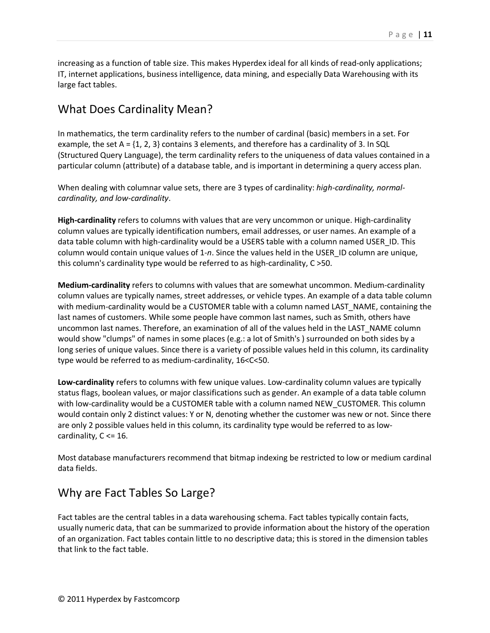increasing as a function of table size. This makes Hyperdex ideal for all kinds of read-only applications; IT, internet applications, business intelligence, data mining, and especially Data Warehousing with its large fact tables.

### What Does Cardinality Mean?

In mathematics, the term cardinality refers to the number of cardinal (basic) members in a set. For example, the set A =  $\{1, 2, 3\}$  contains 3 elements, and therefore has a cardinality of 3. In SQL (Structured Query Language), the term cardinality refers to the uniqueness of data values contained in a particular column (attribute) of a database table, and is important in determining a query access plan.

When dealing with columnar value sets, there are 3 types of cardinality: *high-cardinality, normalcardinality, and low-cardinality*.

**High-cardinality** refers to columns with values that are very uncommon or unique. High-cardinality column values are typically identification numbers, email addresses, or user names. An example of a data table column with high-cardinality would be a USERS table with a column named USER\_ID. This column would contain unique values of 1-*n*. Since the values held in the USER\_ID column are unique, this column's cardinality type would be referred to as high-cardinality, C >50.

**Medium-cardinality** refers to columns with values that are somewhat uncommon. Medium-cardinality column values are typically names, street addresses, or vehicle types. An example of a data table column with medium-cardinality would be a CUSTOMER table with a column named LAST\_NAME, containing the last names of customers. While some people have common last names, such as Smith, others have uncommon last names. Therefore, an examination of all of the values held in the LAST\_NAME column would show "clumps" of names in some places (e.g.: a lot of Smith's ) surrounded on both sides by a long series of unique values. Since there is a variety of possible values held in this column, its cardinality type would be referred to as medium-cardinality, 16<C<50.

**Low-cardinality** refers to columns with few unique values. Low-cardinality column values are typically status flags, boolean values, or major classifications such as gender. An example of a data table column with low-cardinality would be a CUSTOMER table with a column named NEW\_CUSTOMER. This column would contain only 2 distinct values: Y or N, denoting whether the customer was new or not. Since there are only 2 possible values held in this column, its cardinality type would be referred to as lowcardinality,  $C \leq 16$ .

Most database manufacturers recommend that bitmap indexing be restricted to low or medium cardinal data fields.

### Why are Fact Tables So Large?

Fact tables are the central tables in a data warehousing schema. Fact tables typically contain facts, usually numeric data, that can be summarized to provide information about the history of the operation of an organization. Fact tables contain little to no descriptive data; this is stored in the dimension tables that link to the fact table.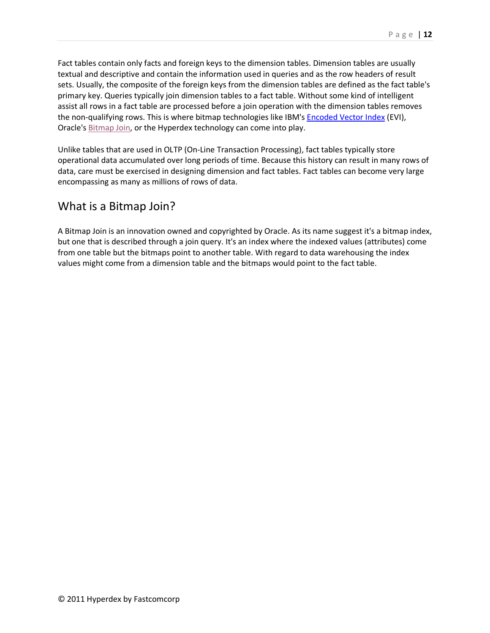Fact tables contain only facts and foreign keys to the dimension tables. Dimension tables are usually textual and descriptive and contain the information used in queries and as the row headers of result sets. Usually, the composite of the foreign keys from the dimension tables are defined as the fact table's primary key. Queries typically join dimension tables to a fact table. Without some kind of intelligent assist all rows in a fact table are processed before a join operation with the dimension tables removes the non-qualifying rows. This is where bitmap technologies like IBM's **Encoded Vector Index** (EVI), Oracle's Bitmap Join, or the Hyperdex technology can come into play.

Unlike tables that are used in OLTP (On-Line Transaction Processing), fact tables typically store operational data accumulated over long periods of time. Because this history can result in many rows of data, care must be exercised in designing dimension and fact tables. Fact tables can become very large encompassing as many as millions of rows of data.

#### What is a Bitmap Join?

A Bitmap Join is an innovation owned and copyrighted by Oracle. As its name suggest it's a bitmap index, but one that is described through a join query. It's an index where the indexed values (attributes) come from one table but the bitmaps point to another table. With regard to data warehousing the index values might come from a dimension table and the bitmaps would point to the fact table.